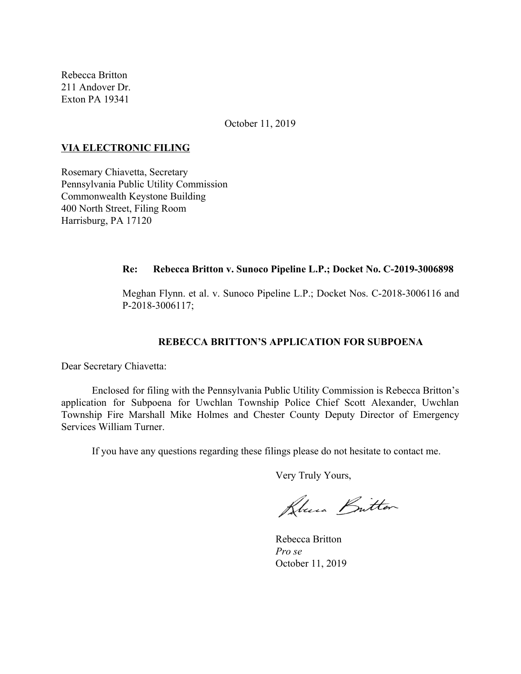Rebecca Britton 211 Andover Dr. Exton PA 19341

October 11, 2019

#### **VIA ELECTRONIC FILING**

Rosemary Chiavetta, Secretary Pennsylvania Public Utility Commission Commonwealth Keystone Building 400 North Street, Filing Room Harrisburg, PA 17120

#### **Re: Rebecca Britton v. Sunoco Pipeline L.P.; Docket No. C-2019-3006898**

Meghan Flynn. et al. v. Sunoco Pipeline L.P.; Docket Nos. C-2018-3006116 and P-2018-3006117;

# **REBECCA BRITTON'S APPLICATION FOR SUBPOENA**

Dear Secretary Chiavetta:

Enclosed for filing with the Pennsylvania Public Utility Commission is Rebecca Britton's application for Subpoena for Uwchlan Township Police Chief Scott Alexander, Uwchlan Township Fire Marshall Mike Holmes and Chester County Deputy Director of Emergency Services William Turner.

If you have any questions regarding these filings please do not hesitate to contact me.

Very Truly Yours,

Blues Britton

Rebecca Britton *Pro se* October 11, 2019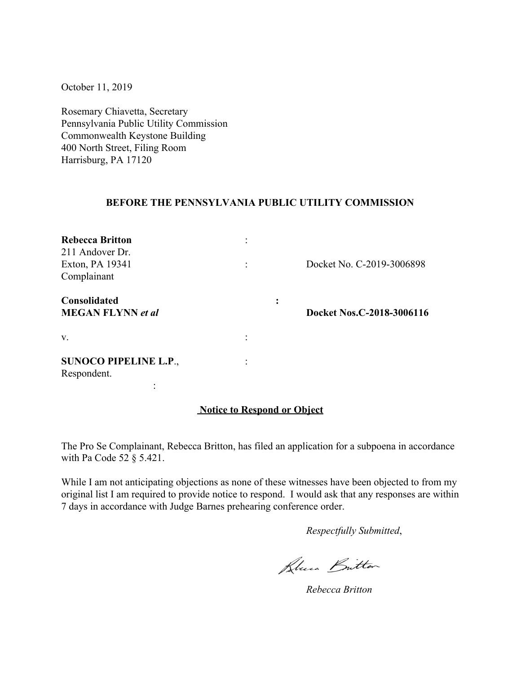October 11, 2019

Rosemary Chiavetta, Secretary Pennsylvania Public Utility Commission Commonwealth Keystone Building 400 North Street, Filing Room Harrisburg, PA 17120

## **BEFORE THE PENNSYLVANIA PUBLIC UTILITY COMMISSION**

| <b>Rebecca Britton</b>       |                |                           |  |
|------------------------------|----------------|---------------------------|--|
| 211 Andover Dr.              |                |                           |  |
| Exton, PA 19341              |                | Docket No. C-2019-3006898 |  |
| Complainant                  |                |                           |  |
| <b>Consolidated</b>          | ٠<br>$\bullet$ |                           |  |
| <b>MEGAN FLYNN</b> et al     |                | Docket Nos.C-2018-3006116 |  |
| V.                           |                |                           |  |
|                              |                |                           |  |
| <b>SUNOCO PIPELINE L.P.,</b> |                |                           |  |
| Respondent.                  |                |                           |  |
|                              |                |                           |  |

## **Notice to Respond or Object**

The Pro Se Complainant, Rebecca Britton, has filed an application for a subpoena in accordance with Pa Code 52 § 5.421.

While I am not anticipating objections as none of these witnesses have been objected to from my original list I am required to provide notice to respond. I would ask that any responses are within 7 days in accordance with Judge Barnes prehearing conference order.

*Respectfully Submitted*,

Blue Britton

*Rebecca Britton*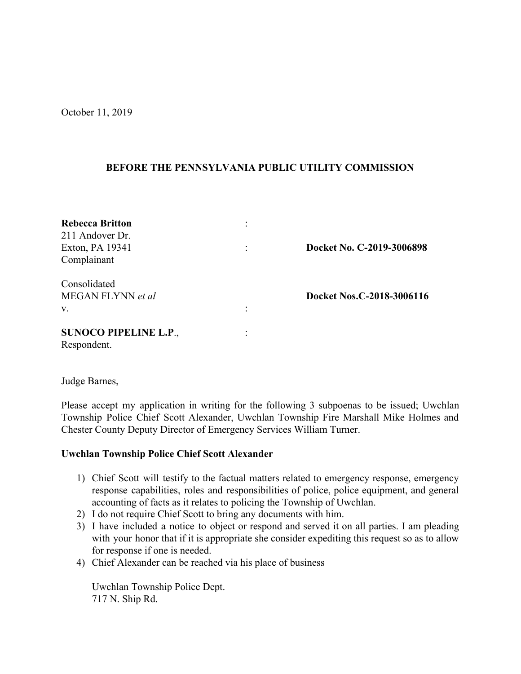October 11, 2019

## **BEFORE THE PENNSYLVANIA PUBLIC UTILITY COMMISSION**

| <b>Rebecca Britton</b><br>211 Andover Dr. |                           |
|-------------------------------------------|---------------------------|
| Exton, PA 19341                           | Docket No. C-2019-3006898 |
| Complainant                               |                           |
| Consolidated                              |                           |
| MEGAN FLYNN et al                         | Docket Nos.C-2018-3006116 |
| $V_{\cdot}$                               |                           |
| <b>SUNOCO PIPELINE L.P.,</b>              |                           |
| Respondent.                               |                           |

Judge Barnes,

Please accept my application in writing for the following 3 subpoenas to be issued; Uwchlan Township Police Chief Scott Alexander, Uwchlan Township Fire Marshall Mike Holmes and Chester County Deputy Director of Emergency Services William Turner.

## **Uwchlan Township Police Chief Scott Alexander**

- 1) Chief Scott will testify to the factual matters related to emergency response, emergency response capabilities, roles and responsibilities of police, police equipment, and general accounting of facts as it relates to policing the Township of Uwchlan.
- 2) I do not require Chief Scott to bring any documents with him.
- 3) I have included a notice to object or respond and served it on all parties. I am pleading with your honor that if it is appropriate she consider expediting this request so as to allow for response if one is needed.
- 4) Chief Alexander can be reached via his place of business

Uwchlan Township Police Dept. 717 N. Ship Rd.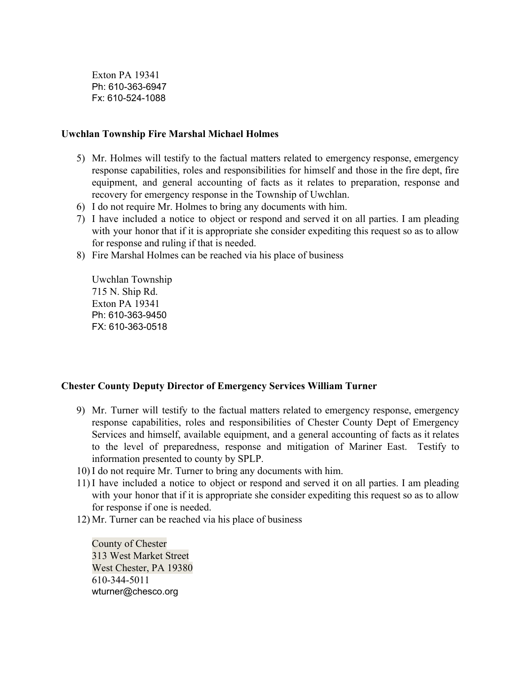Exton PA 19341 Ph: 610-363-6947 Fx: 610-524-1088

#### **Uwchlan Township Fire Marshal Michael Holmes**

- 5) Mr. Holmes will testify to the factual matters related to emergency response, emergency response capabilities, roles and responsibilities for himself and those in the fire dept, fire equipment, and general accounting of facts as it relates to preparation, response and recovery for emergency response in the Township of Uwchlan.
- 6) I do not require Mr. Holmes to bring any documents with him.
- 7) I have included a notice to object or respond and served it on all parties. I am pleading with your honor that if it is appropriate she consider expediting this request so as to allow for response and ruling if that is needed.
- 8) Fire Marshal Holmes can be reached via his place of business

Uwchlan Township 715 N. Ship Rd. Exton PA 19341 Ph: 610-363-9450 FX: 610-363-0518

## **Chester County Deputy Director of Emergency Services William Turner**

- 9) Mr. Turner will testify to the factual matters related to emergency response, emergency response capabilities, roles and responsibilities of Chester County Dept of Emergency Services and himself, available equipment, and a general accounting of facts as it relates to the level of preparedness, response and mitigation of Mariner East. Testify to information presented to county by SPLP.
- 10) I do not require Mr. Turner to bring any documents with him.
- 11) I have included a notice to object or respond and served it on all parties. I am pleading with your honor that if it is appropriate she consider expediting this request so as to allow for response if one is needed.
- 12) Mr. Turner can be reached via his place of business

County of Chester 313 West Market Street West Chester, PA 19380 610-344-5011 wturner@chesco.org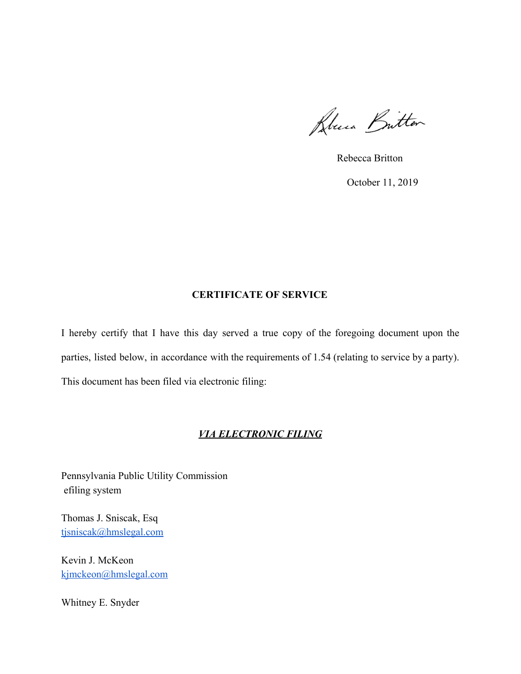Rouen Britton

Rebecca Britton

October 11, 2019

# **CERTIFICATE OF SERVICE**

I hereby certify that I have this day served a true copy of the foregoing document upon the parties, listed below, in accordance with the requirements of 1.54 (relating to service by a party). This document has been filed via electronic filing:

# *VIA ELECTRONIC FILING*

Pennsylvania Public Utility Commission efiling system

Thomas J. Sniscak, Esq [tjsniscak@hmslegal.com](mailto:tjsniscak@hmslegal.com)

Kevin J. McKeon [kjmckeon@hmslegal.com](mailto:kjmckeon@hmslegal.com)

Whitney E. Snyder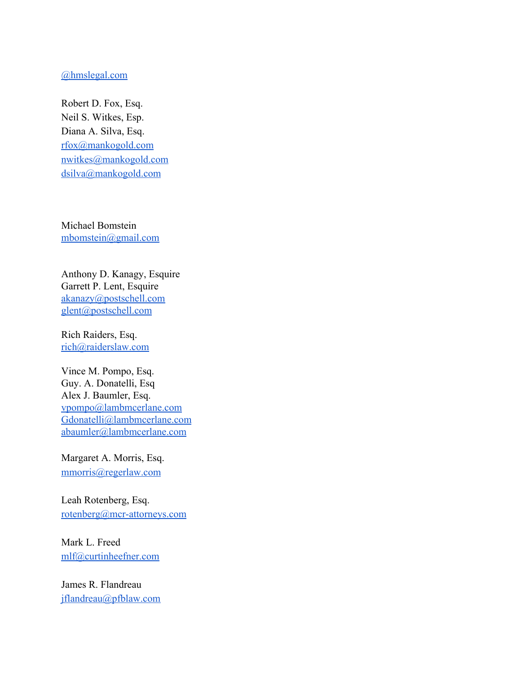#### [@hmslegal.com](mailto:wesnyder@hmslegal.com)

Robert D. Fox, Esq. Neil S. Witkes, Esp. Diana A. Silva, Esq. [rfox@mankogold.com](mailto:rfox@mankogold.com) [nwitkes@mankogold.com](mailto:nwitkes@mankogold.com) [dsilva@mankogold.com](mailto:dsilva@mankogold.com)

Michael Bomstein [mbomstein@gmail.com](mailto:mbomstein@gmail.com)

Anthony D. Kanagy, Esquire Garrett P. Lent, Esquire [akanazy@postschell.com](mailto:akanazy@postschell.com) [glent@postschell.com](mailto:glent@postschell.com)

Rich Raiders, Esq. [rich@raiderslaw.com](mailto:rich@raiderslaw.com)

Vince M. Pompo, Esq. Guy. A. Donatelli, Esq Alex J. Baumler, Esq. [vpompo@lambmcerlane.com](mailto:vpompo@lambmcerlane.com) [Gdonatelli@lambmcerlane.com](mailto:Gdonatelli@lambmcerlane.com) [abaumler@lambmcerlane.com](mailto:abaumler@lambmcerlane.com)

Margaret A. Morris, Esq. [mmorris@regerlaw.com](mailto:mmorris@regerlaw.com)

Leah Rotenberg, Esq. [rotenberg@mcr-attorneys.com](mailto:rotenberg@mcr-attorneys.com)

Mark L. Freed [mlf@curtinheefner.com](mailto:mlf@curtinheefner.com)

James R. Flandreau [jflandreau@pfblaw.com](mailto:jflandreau@pfblaw.com)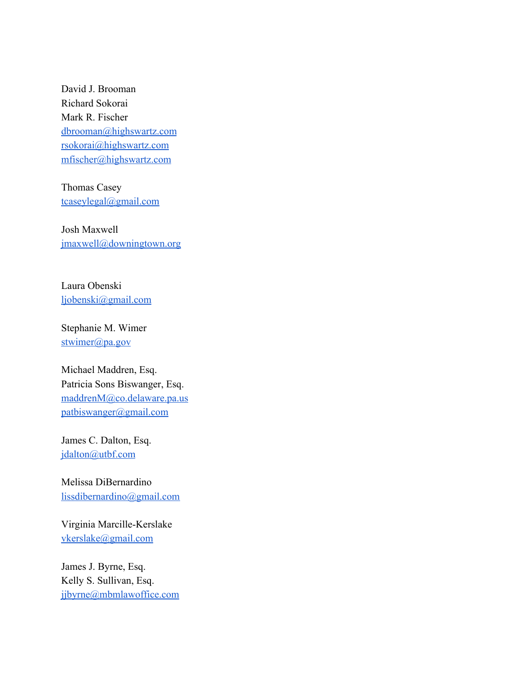David J. Brooman Richard Sokorai Mark R. Fischer [dbrooman@highswartz.com](mailto:dbrooman@highswartz.com) [rsokorai@highswartz.com](mailto:rsokorai@highswartz.com) [mfischer@highswartz.com](mailto:mfischer@highswartz.com)

Thomas Casey [tcaseylegal@gmail.com](mailto:tcaseylegal@gmail.com)

Josh Maxwell [jmaxwell@downingtown.org](mailto:jmaxwell@downingtown.org)

Laura Obenski [ljobenski@gmail.com](mailto:ljobenski@gmail.com)

Stephanie M. Wimer [stwimer@pa.gov](mailto:stwimer@pa.gov)

Michael Maddren, Esq. Patricia Sons Biswanger, Esq. [maddrenM@co.delaware.pa.us](mailto:maddrenM@co.delaware.pa.us) [patbiswanger@gmail.com](mailto:patbiswanger@gmail.com)

James C. Dalton, Esq. [jdalton@utbf.com](mailto:jdalton@utbf.com)

Melissa DiBernardino [lissdibernardino@gmail.com](mailto:lissdibernardino@gmail.com)

Virginia Marcille-Kerslake [vkerslake@gmail.com](mailto:vkerslake@gmail.com)

James J. Byrne, Esq. Kelly S. Sullivan, Esq. [jjbyrne@mbmlawoffice.com](mailto:jjbyrne@mbmlawoffice.com)